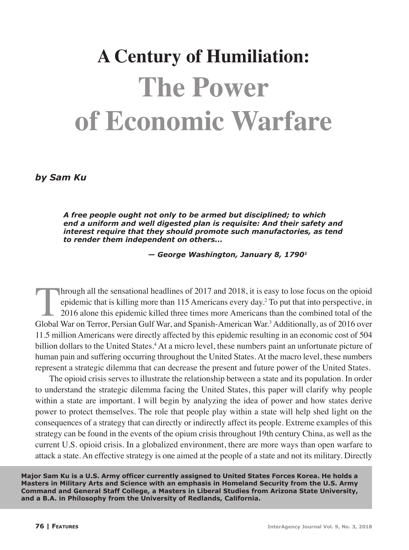## **A Century of Humiliation: The Power of Economic Warfare**

*by Sam Ku*

*A free people ought not only to be armed but disciplined; to which end a uniform and well digested plan is requisite: And their safety and interest require that they should promote such manufactories, as tend to render them independent on others...*

 *— George Washington, January 8, 17901*

In the sensational headlines of  $2017$  and  $2018$ , it is easy to lose focus on the opioid epidemic that is killing more than 115 Americans every day.<sup>2</sup> To put that into perspective, in 2016 alone this epidemic killed three times more Americans than the combined total of the Global War on Terror, Persian Gulf War, and Spanish-American War.<sup>3</sup> Additionally, as of 2016 over 11.5 million Americans were directly affected by this epidemic resulting in an economic cost of 504 billion dollars to the United States.<sup>4</sup> At a micro level, these numbers paint an unfortunate picture of human pain and suffering occurring throughout the United States. At the macro level, these numbers represent a strategic dilemma that can decrease the present and future power of the United States.

The opioid crisis serves to illustrate the relationship between a state and its population. In order to understand the strategic dilemma facing the United States, this paper will clarify why people within a state are important. I will begin by analyzing the idea of power and how states derive power to protect themselves. The role that people play within a state will help shed light on the consequences of a strategy that can directly or indirectly affect its people. Extreme examples of this strategy can be found in the events of the opium crisis throughout 19th century China, as well as the current U.S. opioid crisis. In a globalized environment, there are more ways than open warfare to attack a state. An effective strategy is one aimed at the people of a state and not its military. Directly

**Major Sam Ku is a U.S. Army officer currently assigned to United States Forces Korea. He holds a Masters in Military Arts and Science with an emphasis in Homeland Security from the U.S. Army Command and General Staff College, a Masters in Liberal Studies from Arizona State University, and a B.A. in Philosophy from the University of Redlands, California.**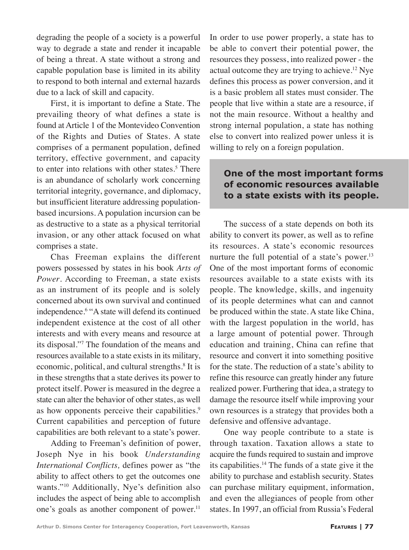degrading the people of a society is a powerful way to degrade a state and render it incapable of being a threat. A state without a strong and capable population base is limited in its ability to respond to both internal and external hazards due to a lack of skill and capacity.

First, it is important to define a State. The prevailing theory of what defines a state is found at Article 1 of the Montevideo Convention of the Rights and Duties of States. A state comprises of a permanent population, defined territory, effective government, and capacity to enter into relations with other states.<sup>5</sup> There is an abundance of scholarly work concerning territorial integrity, governance, and diplomacy, but insufficient literature addressing populationbased incursions. A population incursion can be as destructive to a state as a physical territorial invasion, or any other attack focused on what comprises a state.

Chas Freeman explains the different powers possessed by states in his book *Arts of Power*. According to Freeman, a state exists as an instrument of its people and is solely concerned about its own survival and continued independence.<sup>6</sup> "A state will defend its continued independent existence at the cost of all other interests and with every means and resource at its disposal."7 The foundation of the means and resources available to a state exists in its military, economic, political, and cultural strengths.<sup>8</sup> It is in these strengths that a state derives its power to protect itself. Power is measured in the degree a state can alter the behavior of other states, as well as how opponents perceive their capabilities.<sup>9</sup> Current capabilities and perception of future capabilities are both relevant to a state's power.

Adding to Freeman's definition of power, Joseph Nye in his book *Understanding International Conflicts,* defines power as "the ability to affect others to get the outcomes one wants."10 Additionally, Nye's definition also includes the aspect of being able to accomplish one's goals as another component of power. $11$ 

In order to use power properly, a state has to be able to convert their potential power, the resources they possess, into realized power - the actual outcome they are trying to achieve.12 Nye defines this process as power conversion, and it is a basic problem all states must consider. The people that live within a state are a resource, if not the main resource. Without a healthy and strong internal population, a state has nothing else to convert into realized power unless it is willing to rely on a foreign population.

## **One of the most important forms of economic resources available to a state exists with its people.**

The success of a state depends on both its ability to convert its power, as well as to refine its resources. A state's economic resources nurture the full potential of a state's power. $13$ One of the most important forms of economic resources available to a state exists with its people. The knowledge, skills, and ingenuity of its people determines what can and cannot be produced within the state. A state like China, with the largest population in the world, has a large amount of potential power. Through education and training, China can refine that resource and convert it into something positive for the state. The reduction of a state's ability to refine this resource can greatly hinder any future realized power. Furthering that idea, a strategy to damage the resource itself while improving your own resources is a strategy that provides both a defensive and offensive advantage.

One way people contribute to a state is through taxation. Taxation allows a state to acquire the funds required to sustain and improve its capabilities. $14$  The funds of a state give it the ability to purchase and establish security. States can purchase military equipment, information, and even the allegiances of people from other states. In 1997, an official from Russia's Federal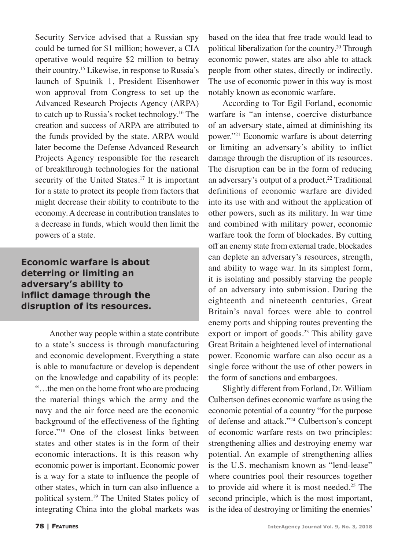Security Service advised that a Russian spy could be turned for \$1 million; however, a CIA operative would require \$2 million to betray their country.15 Likewise, in response to Russia's launch of Sputnik 1, President Eisenhower won approval from Congress to set up the Advanced Research Projects Agency (ARPA) to catch up to Russia's rocket technology.16 The creation and success of ARPA are attributed to the funds provided by the state. ARPA would later become the Defense Advanced Research Projects Agency responsible for the research of breakthrough technologies for the national security of the United States.<sup>17</sup> It is important for a state to protect its people from factors that might decrease their ability to contribute to the economy. A decrease in contribution translates to a decrease in funds, which would then limit the powers of a state.

**Economic warfare is about deterring or limiting an adversary's ability to inflict damage through the disruption of its resources.** 

> Another way people within a state contribute to a state's success is through manufacturing and economic development. Everything a state is able to manufacture or develop is dependent on the knowledge and capability of its people: "…the men on the home front who are producing the material things which the army and the navy and the air force need are the economic background of the effectiveness of the fighting force."18 One of the closest links between states and other states is in the form of their economic interactions. It is this reason why economic power is important. Economic power is a way for a state to influence the people of other states, which in turn can also influence a political system.19 The United States policy of integrating China into the global markets was

based on the idea that free trade would lead to political liberalization for the country.20 Through economic power, states are also able to attack people from other states, directly or indirectly. The use of economic power in this way is most notably known as economic warfare.

According to Tor Egil Forland, economic warfare is "an intense, coercive disturbance of an adversary state, aimed at diminishing its power."21 Economic warfare is about deterring or limiting an adversary's ability to inflict damage through the disruption of its resources. The disruption can be in the form of reducing an adversary's output of a product.<sup>22</sup> Traditional definitions of economic warfare are divided into its use with and without the application of other powers, such as its military. In war time and combined with military power, economic warfare took the form of blockades. By cutting off an enemy state from external trade, blockades can deplete an adversary's resources, strength, and ability to wage war. In its simplest form, it is isolating and possibly starving the people of an adversary into submission. During the eighteenth and nineteenth centuries, Great Britain's naval forces were able to control enemy ports and shipping routes preventing the export or import of goods.<sup>23</sup> This ability gave Great Britain a heightened level of international power. Economic warfare can also occur as a single force without the use of other powers in the form of sanctions and embargoes.

Slightly different from Forland, Dr. William Culbertson defines economic warfare as using the economic potential of a country "for the purpose of defense and attack."24 Culbertson's concept of economic warfare rests on two principles: strengthening allies and destroying enemy war potential. An example of strengthening allies is the U.S. mechanism known as "lend-lease" where countries pool their resources together to provide aid where it is most needed.<sup>25</sup> The second principle, which is the most important, is the idea of destroying or limiting the enemies'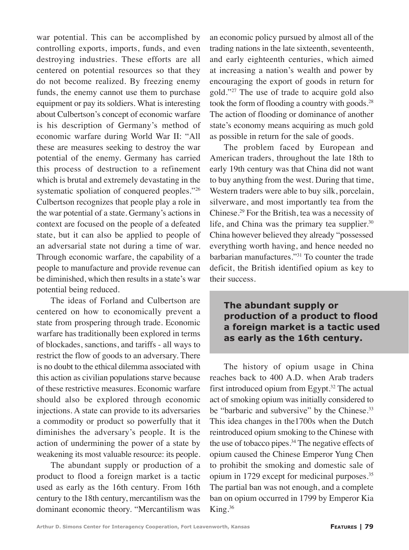war potential. This can be accomplished by controlling exports, imports, funds, and even destroying industries. These efforts are all centered on potential resources so that they do not become realized. By freezing enemy funds, the enemy cannot use them to purchase equipment or pay its soldiers. What is interesting about Culbertson's concept of economic warfare is his description of Germany's method of economic warfare during World War II: "All these are measures seeking to destroy the war potential of the enemy. Germany has carried this process of destruction to a refinement which is brutal and extremely devastating in the systematic spoliation of conquered peoples."<sup>26</sup> Culbertson recognizes that people play a role in the war potential of a state. Germany's actions in context are focused on the people of a defeated state, but it can also be applied to people of an adversarial state not during a time of war. Through economic warfare, the capability of a people to manufacture and provide revenue can be diminished, which then results in a state's war potential being reduced.

The ideas of Forland and Culbertson are centered on how to economically prevent a state from prospering through trade. Economic warfare has traditionally been explored in terms of blockades, sanctions, and tariffs - all ways to restrict the flow of goods to an adversary. There is no doubt to the ethical dilemma associated with this action as civilian populations starve because of these restrictive measures. Economic warfare should also be explored through economic injections. A state can provide to its adversaries a commodity or product so powerfully that it diminishes the adversary's people. It is the action of undermining the power of a state by weakening its most valuable resource: its people.

The abundant supply or production of a product to flood a foreign market is a tactic used as early as the 16th century. From 16th century to the 18th century, mercantilism was the dominant economic theory. "Mercantilism was

an economic policy pursued by almost all of the trading nations in the late sixteenth, seventeenth, and early eighteenth centuries, which aimed at increasing a nation's wealth and power by encouraging the export of goods in return for gold."27 The use of trade to acquire gold also took the form of flooding a country with goods.<sup>28</sup> The action of flooding or dominance of another state's economy means acquiring as much gold as possible in return for the sale of goods.

The problem faced by European and American traders, throughout the late 18th to early 19th century was that China did not want to buy anything from the west. During that time, Western traders were able to buy silk, porcelain, silverware, and most importantly tea from the Chinese.29 For the British, tea was a necessity of life, and China was the primary tea supplier.<sup>30</sup> China however believed they already "possessed everything worth having, and hence needed no barbarian manufactures."31 To counter the trade deficit, the British identified opium as key to their success.

**The abundant supply or production of a product to flood a foreign market is a tactic used as early as the 16th century.**

The history of opium usage in China reaches back to 400 A.D. when Arab traders first introduced opium from Egypt.32 The actual act of smoking opium was initially considered to be "barbaric and subversive" by the Chinese.<sup>33</sup> This idea changes in the1700s when the Dutch reintroduced opium smoking to the Chinese with the use of tobacco pipes.34 The negative effects of opium caused the Chinese Emperor Yung Chen to prohibit the smoking and domestic sale of opium in 1729 except for medicinal purposes.35 The partial ban was not enough, and a complete ban on opium occurred in 1799 by Emperor Kia King.36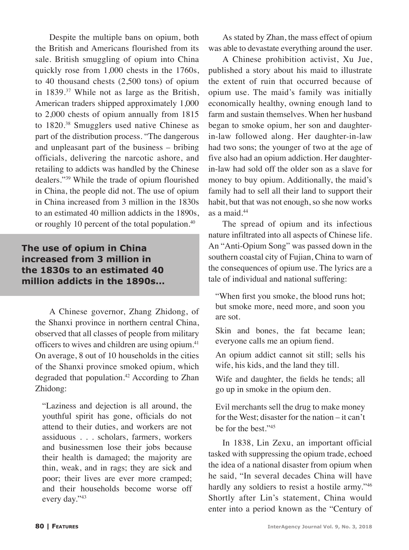Despite the multiple bans on opium, both the British and Americans flourished from its sale. British smuggling of opium into China quickly rose from 1,000 chests in the 1760s, to 40 thousand chests (2,500 tons) of opium in 1839.37 While not as large as the British, American traders shipped approximately 1,000 to 2,000 chests of opium annually from 1815 to 1820.38 Smugglers used native Chinese as part of the distribution process. "The dangerous and unpleasant part of the business – bribing officials, delivering the narcotic ashore, and retailing to addicts was handled by the Chinese dealers."39 While the trade of opium flourished in China, the people did not. The use of opium in China increased from 3 million in the 1830s to an estimated 40 million addicts in the 1890s, or roughly 10 percent of the total population.<sup>40</sup>

## **The use of opium in China increased from 3 million in the 1830s to an estimated 40 million addicts in the 1890s...**

A Chinese governor, Zhang Zhidong, of the Shanxi province in northern central China, observed that all classes of people from military officers to wives and children are using opium.<sup>41</sup> On average, 8 out of 10 households in the cities of the Shanxi province smoked opium, which degraded that population.<sup>42</sup> According to Zhan Zhidong:

"Laziness and dejection is all around, the youthful spirit has gone, officials do not attend to their duties, and workers are not assiduous . . . scholars, farmers, workers and businessmen lose their jobs because their health is damaged; the majority are thin, weak, and in rags; they are sick and poor; their lives are ever more cramped; and their households become worse off every day."43

As stated by Zhan, the mass effect of opium was able to devastate everything around the user.

A Chinese prohibition activist, Xu Jue, published a story about his maid to illustrate the extent of ruin that occurred because of opium use. The maid's family was initially economically healthy, owning enough land to farm and sustain themselves. When her husband began to smoke opium, her son and daughterin-law followed along. Her daughter-in-law had two sons; the younger of two at the age of five also had an opium addiction. Her daughterin-law had sold off the older son as a slave for money to buy opium. Additionally, the maid's family had to sell all their land to support their habit, but that was not enough, so she now works as a maid.44

The spread of opium and its infectious nature infiltrated into all aspects of Chinese life. An "Anti-Opium Song" was passed down in the southern coastal city of Fujian, China to warn of the consequences of opium use. The lyrics are a tale of individual and national suffering:

"When first you smoke, the blood runs hot; but smoke more, need more, and soon you are sot.

Skin and bones, the fat became lean; everyone calls me an opium fiend.

An opium addict cannot sit still; sells his wife, his kids, and the land they till.

Wife and daughter, the fields he tends; all go up in smoke in the opium den.

Evil merchants sell the drug to make money for the West; disaster for the nation – it can't be for the best."45

In 1838, Lin Zexu, an important official tasked with suppressing the opium trade, echoed the idea of a national disaster from opium when he said, "In several decades China will have hardly any soldiers to resist a hostile army."46 Shortly after Lin's statement, China would enter into a period known as the "Century of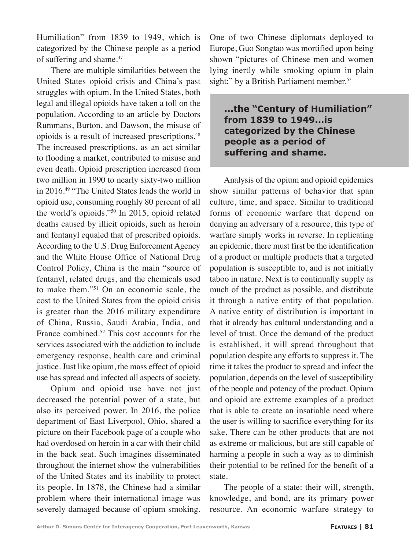Humiliation" from 1839 to 1949, which is categorized by the Chinese people as a period of suffering and shame.47

There are multiple similarities between the United States opioid crisis and China's past struggles with opium. In the United States, both legal and illegal opioids have taken a toll on the population. According to an article by Doctors Rummans, Burton, and Dawson, the misuse of opioids is a result of increased prescriptions.48 The increased prescriptions, as an act similar to flooding a market, contributed to misuse and even death. Opioid prescription increased from two million in 1990 to nearly sixty-two million in 2016.49 "The United States leads the world in opioid use, consuming roughly 80 percent of all the world's opioids."50 In 2015, opioid related deaths caused by illicit opioids, such as heroin and fentanyl equaled that of prescribed opioids. According to the U.S. Drug Enforcement Agency and the White House Office of National Drug Control Policy, China is the main "source of fentanyl, related drugs, and the chemicals used to make them."51 On an economic scale, the cost to the United States from the opioid crisis is greater than the 2016 military expenditure of China, Russia, Saudi Arabia, India, and France combined.<sup>52</sup> This cost accounts for the services associated with the addiction to include emergency response, health care and criminal justice. Just like opium, the mass effect of opioid use has spread and infected all aspects of society.

Opium and opioid use have not just decreased the potential power of a state, but also its perceived power. In 2016, the police department of East Liverpool, Ohio, shared a picture on their Facebook page of a couple who had overdosed on heroin in a car with their child in the back seat. Such imagines disseminated throughout the internet show the vulnerabilities of the United States and its inability to protect its people. In 1878, the Chinese had a similar problem where their international image was severely damaged because of opium smoking. One of two Chinese diplomats deployed to Europe, Guo Songtao was mortified upon being shown "pictures of Chinese men and women lying inertly while smoking opium in plain sight;" by a British Parliament member.<sup>53</sup>

**...the "Century of Humiliation" from 1839 to 1949...is categorized by the Chinese people as a period of suffering and shame.**

Analysis of the opium and opioid epidemics show similar patterns of behavior that span culture, time, and space. Similar to traditional forms of economic warfare that depend on denying an adversary of a resource, this type of warfare simply works in reverse. In replicating an epidemic, there must first be the identification of a product or multiple products that a targeted population is susceptible to, and is not initially taboo in nature. Next is to continually supply as much of the product as possible, and distribute it through a native entity of that population. A native entity of distribution is important in that it already has cultural understanding and a level of trust. Once the demand of the product is established, it will spread throughout that population despite any efforts to suppress it. The time it takes the product to spread and infect the population, depends on the level of susceptibility of the people and potency of the product. Opium and opioid are extreme examples of a product that is able to create an insatiable need where the user is willing to sacrifice everything for its sake. There can be other products that are not as extreme or malicious, but are still capable of harming a people in such a way as to diminish their potential to be refined for the benefit of a state.

The people of a state: their will, strength, knowledge, and bond, are its primary power resource. An economic warfare strategy to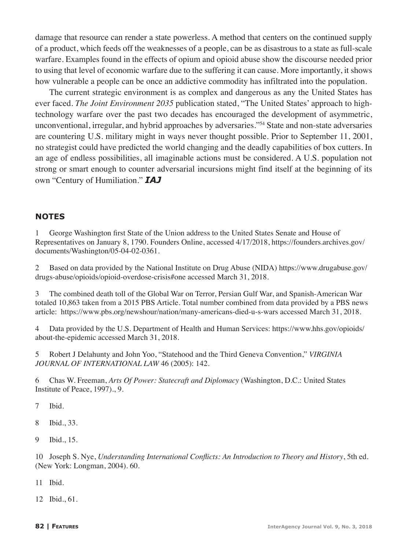damage that resource can render a state powerless. A method that centers on the continued supply of a product, which feeds off the weaknesses of a people, can be as disastrous to a state as full-scale warfare. Examples found in the effects of opium and opioid abuse show the discourse needed prior to using that level of economic warfare due to the suffering it can cause. More importantly, it shows how vulnerable a people can be once an addictive commodity has infiltrated into the population.

The current strategic environment is as complex and dangerous as any the United States has ever faced. *The Joint Environment 2035* publication stated, "The United States' approach to hightechnology warfare over the past two decades has encouraged the development of asymmetric, unconventional, irregular, and hybrid approaches by adversaries."54 State and non-state adversaries are countering U.S. military might in ways never thought possible. Prior to September 11, 2001, no strategist could have predicted the world changing and the deadly capabilities of box cutters. In an age of endless possibilities, all imaginable actions must be considered. A U.S. population not strong or smart enough to counter adversarial incursions might find itself at the beginning of its own "Century of Humiliation." *IAJ*

## **NOTES**

1 George Washington first State of the Union address to the United States Senate and House of Representatives on January 8, 1790. Founders Online, accessed 4/17/2018, https://founders.archives.gov/ documents/Washington/05-04-02-0361.

2 Based on data provided by the National Institute on Drug Abuse (NIDA) https://www.drugabuse.gov/ drugs-abuse/opioids/opioid-overdose-crisis#one accessed March 31, 2018.

3 The combined death toll of the Global War on Terror, Persian Gulf War, and Spanish-American War totaled 10,863 taken from a 2015 PBS Article. Total number combined from data provided by a PBS news article: https://www.pbs.org/newshour/nation/many-americans-died-u-s-wars accessed March 31, 2018.

4 Data provided by the U.S. Department of Health and Human Services: https://www.hhs.gov/opioids/ about-the-epidemic accessed March 31, 2018.

5 Robert J Delahunty and John Yoo, "Statehood and the Third Geneva Convention," *VIRGINIA JOURNAL OF INTERNATIONAL LAW* 46 (2005): 142.

6 Chas W. Freeman, *Arts Of Power: Statecraft and Diplomacy* (Washington, D.C.: United States Institute of Peace, 1997)., 9.

7 Ibid.

8 Ibid., 33.

9 Ibid., 15.

10 Joseph S. Nye, *Understanding International Conflicts: An Introduction to Theory and History*, 5th ed. (New York: Longman, 2004). 60.

11 Ibid.

12 Ibid., 61.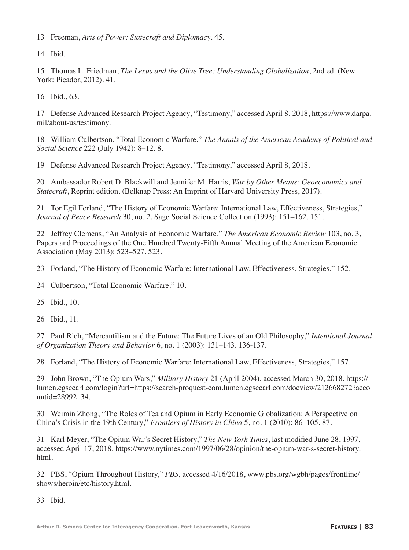13 Freeman, *Arts of Power: Statecraft and Diplomacy*. 45.

14 Ibid.

15 Thomas L. Friedman, *The Lexus and the Olive Tree: Understanding Globalization*, 2nd ed. (New York: Picador, 2012). 41.

16 Ibid., 63.

17 Defense Advanced Research Project Agency, "Testimony," accessed April 8, 2018, https://www.darpa. mil/about-us/testimony.

18 William Culbertson, "Total Economic Warfare," *The Annals of the American Academy of Political and Social Science* 222 (July 1942): 8–12. 8.

19 Defense Advanced Research Project Agency, "Testimony," accessed April 8, 2018.

20 Ambassador Robert D. Blackwill and Jennifer M. Harris, *War by Other Means: Geoeconomics and Statecraft*, Reprint edition. (Belknap Press: An Imprint of Harvard University Press, 2017).

21 Tor Egil Forland, "The History of Economic Warfare: International Law, Effectiveness, Strategies," *Journal of Peace Research* 30, no. 2, Sage Social Science Collection (1993): 151–162. 151.

22 Jeffrey Clemens, "An Analysis of Economic Warfare," *The American Economic Review* 103, no. 3, Papers and Proceedings of the One Hundred Twenty-Fifth Annual Meeting of the American Economic Association (May 2013): 523–527. 523.

23 Forland, "The History of Economic Warfare: International Law, Effectiveness, Strategies," 152.

24 Culbertson, "Total Economic Warfare." 10.

25 Ibid., 10.

26 Ibid., 11.

27 Paul Rich, "Mercantilism and the Future: The Future Lives of an Old Philosophy," *Intentional Journal of Organization Theory and Behavior* 6, no. 1 (2003): 131–143. 136-137.

28 Forland, "The History of Economic Warfare: International Law, Effectiveness, Strategies," 157.

29 John Brown, "The Opium Wars," *Military History* 21 (April 2004), accessed March 30, 2018, https:// lumen.cgsccarl.com/login?url=https://search-proquest-com.lumen.cgsccarl.com/docview/212668272?acco untid=28992. 34.

30 Weimin Zhong, "The Roles of Tea and Opium in Early Economic Globalization: A Perspective on China's Crisis in the 19th Century," *Frontiers of History in China* 5, no. 1 (2010): 86–105. 87.

31 Karl Meyer, "The Opium War's Secret History," *The New York Times*, last modified June 28, 1997, accessed April 17, 2018, https://www.nytimes.com/1997/06/28/opinion/the-opium-war-s-secret-history. html.

32 PBS, "Opium Throughout History," *PBS,* accessed 4/16/2018, www.pbs.org/wgbh/pages/frontline/ shows/heroin/etc/history.html.

33 Ibid.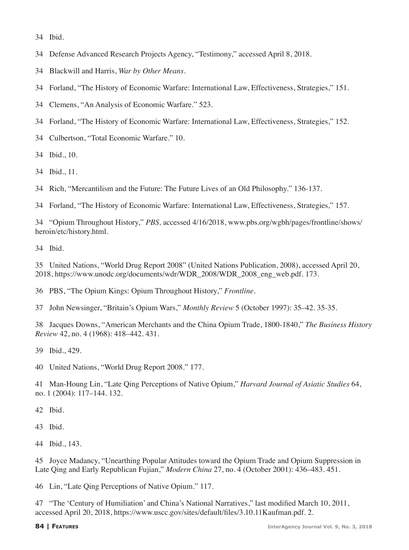Ibid.

- Defense Advanced Research Projects Agency, "Testimony," accessed April 8, 2018.
- Blackwill and Harris, *War by Other Means*.
- Forland, "The History of Economic Warfare: International Law, Effectiveness, Strategies," 151.
- Clemens, "An Analysis of Economic Warfare." 523.
- Forland, "The History of Economic Warfare: International Law, Effectiveness, Strategies," 152.
- Culbertson, "Total Economic Warfare." 10.

Ibid., 10.

- Ibid., 11.
- Rich, "Mercantilism and the Future: The Future Lives of an Old Philosophy." 136-137.

Forland, "The History of Economic Warfare: International Law, Effectiveness, Strategies," 157.

 "Opium Throughout History," *PBS,* accessed 4/16/2018, www.pbs.org/wgbh/pages/frontline/shows/ heroin/etc/history.html.

Ibid.

 United Nations, "World Drug Report 2008" (United Nations Publication, 2008), accessed April 20, 2018, https://www.unodc.org/documents/wdr/WDR\_2008/WDR\_2008\_eng\_web.pdf. 173.

PBS, "The Opium Kings: Opium Throughout History," *Frontline*.

John Newsinger, "Britain's Opium Wars," *Monthly Review* 5 (October 1997): 35–42. 35-35.

 Jacques Downs, "American Merchants and the China Opium Trade, 1800-1840," *The Business History Review* 42, no. 4 (1968): 418–442. 431.

Ibid., 429.

United Nations, "World Drug Report 2008." 177.

 Man-Houng Lin, "Late Qing Perceptions of Native Opium," *Harvard Journal of Asiatic Studies* 64, no. 1 (2004): 117–144. 132.

Ibid.

Ibid.

Ibid., 143.

 Joyce Madancy, "Unearthing Popular Attitudes toward the Opium Trade and Opium Suppression in Late Qing and Early Republican Fujian," *Modern China* 27, no. 4 (October 2001): 436–483. 451.

Lin, "Late Qing Perceptions of Native Opium." 117.

 "The 'Century of Humiliation' and China's National Narratives," last modified March 10, 2011, accessed April 20, 2018, https://www.uscc.gov/sites/default/files/3.10.11Kaufman.pdf. 2.